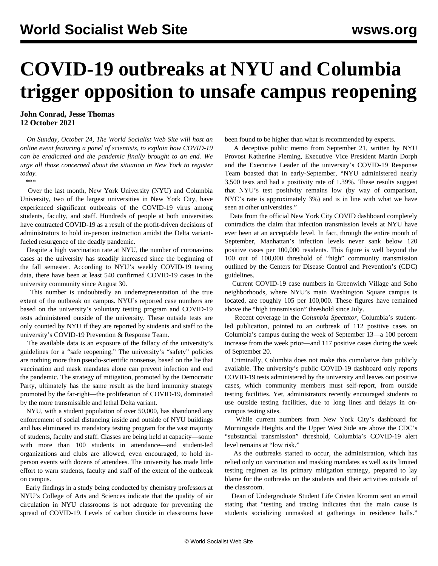## **COVID-19 outbreaks at NYU and Columbia trigger opposition to unsafe campus reopening**

**John Conrad, Jesse Thomas 12 October 2021**

 *On Sunday, October 24, The World Socialist Web Site will host an online event featuring a panel of scientists, to explain how COVID-19 can be eradicated and the pandemic finally brought to an end. We urge all those concerned about the situation in New York [to register](/en/special/pages/how-to-end-the-pandemic.html) [today](/en/special/pages/how-to-end-the-pandemic.html).*

*\*\*\**

 Over the last month, New York University (NYU) and Columbia University, two of the largest universities in New York City, have experienced significant outbreaks of the COVID-19 virus among students, faculty, and staff. Hundreds of people at both universities have contracted COVID-19 as a result of the profit-driven decisions of administrators to hold in-person instruction amidst the Delta variantfueled resurgence of the deadly pandemic.

 Despite a high vaccination rate at NYU, the number of coronavirus cases at the university has steadily increased since the beginning of the fall semester. According to NYU's weekly COVID-19 testing data, there have been at least 540 confirmed COVID-19 cases in the university community since August 30.

 This number is undoubtedly an underrepresentation of the true extent of the outbreak on campus. NYU's reported case numbers are based on the university's voluntary testing program and COVID-19 tests administered outside of the university. These outside tests are only counted by NYU if they are reported by students and staff to the university's COVID-19 Prevention & Response Team.

 The available data is an exposure of the fallacy of the university's guidelines for a "safe reopening." The university's "safety" policies are nothing more than pseudo-scientific nonsense, based on the lie that vaccination and mask mandates alone can prevent infection and end the pandemic. The strategy of mitigation, promoted by the Democratic Party, ultimately has the same result as the herd immunity strategy promoted by the far-right—the proliferation of COVID-19, dominated by the more transmissible and lethal Delta variant.

 NYU, with a student population of over 50,000, has abandoned any enforcement of social distancing inside and outside of NYU buildings and has eliminated its mandatory testing program for the vast majority of students, faculty and staff. Classes are being held at capacity—some with more than 100 students in attendance—and student-led organizations and clubs are allowed, even encouraged, to hold inperson events with dozens of attendees. The university has made little effort to warn students, faculty and staff of the extent of the outbreak on campus.

 Early findings in a study being conducted by chemistry professors at NYU's College of Arts and Sciences indicate that the quality of air circulation in NYU classrooms is not adequate for preventing the spread of COVID-19. Levels of carbon dioxide in classrooms have been found to be higher than what is recommended by experts.

 A deceptive public memo from September 21, written by NYU Provost Katherine Fleming, Executive Vice President Martin Dorph and the Executive Leader of the university's COVID-19 Response Team boasted that in early-September, "NYU administered nearly 3,500 tests and had a positivity rate of 1.39%. These results suggest that NYU's test positivity remains low (by way of comparison, NYC's rate is approximately 3%) and is in line with what we have seen at other universities."

 Data from the official New York City COVID dashboard completely contradicts the claim that infection transmission levels at NYU have ever been at an acceptable level. In fact, through the entire month of September, Manhattan's infection levels never sank below 120 positive cases per 100,000 residents. This figure is well beyond the 100 out of 100,000 threshold of "high" community transmission outlined by the Centers for Disease Control and Prevention's (CDC) guidelines.

 Current COVID-19 case numbers in Greenwich Village and Soho neighborhoods, where NYU's main Washington Square campus is located, are roughly 105 per 100,000. These figures have remained above the "high transmission" threshold since July.

 Recent coverage in the *Columbia Spectator*, Columbia's studentled publication, pointed to an outbreak of 112 positive cases on Columbia's campus during the week of September 13—a 100 percent increase from the week prior—and 117 positive cases during the week of September 20.

 Criminally, Columbia does not make this cumulative data publicly available. The university's public COVID-19 dashboard only reports COVID-19 tests administered by the university and leaves out positive cases, which community members must self-report, from outside testing facilities. Yet, administrators recently encouraged students to use outside testing facilities, due to long lines and delays in oncampus testing sites.

 While current numbers from New York City's dashboard for Morningside Heights and the Upper West Side are above the CDC's "substantial transmission" threshold, Columbia's COVID-19 alert level remains at "low risk."

 As the outbreaks started to occur, the administration, which has relied only on vaccination and masking mandates as well as its limited testing regimen as its primary mitigation strategy, prepared to lay blame for the outbreaks on the students and their activities outside of the classroom.

 Dean of Undergraduate Student Life Cristen Kromm sent an email stating that "testing and tracing indicates that the main cause is students socializing unmasked at gatherings in residence halls."